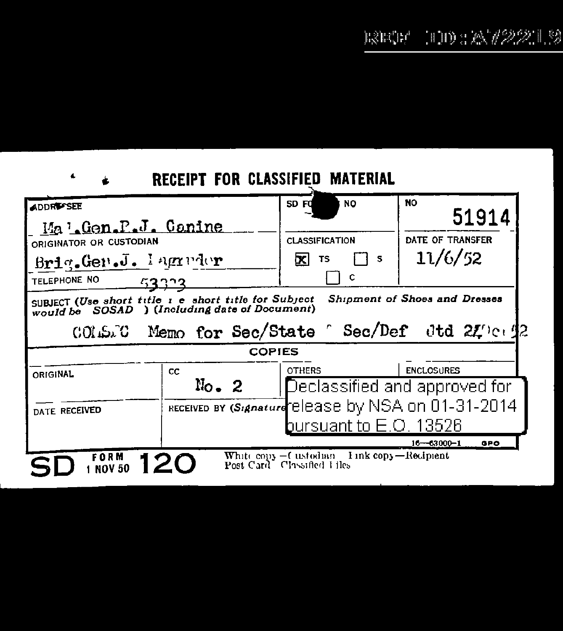## RECEIPT FOR CLASSIFIED MATERIAL

 $\blacktriangleleft$ 

| <b>ADDRESSEE</b><br>Ma Gen.P.J. Canine<br>ORIGINATOR OR CUSTODIAN                                                                         |                                                                                                 | sp Fd<br><b>NO</b><br><b>CLASSIFICATION</b> | <b>NO</b><br>51914<br>DATE OF TRANSFER             |
|-------------------------------------------------------------------------------------------------------------------------------------------|-------------------------------------------------------------------------------------------------|---------------------------------------------|----------------------------------------------------|
| Brig. Gen.J. Iagredor<br><b>TELEPHONE NO</b><br>53323                                                                                     |                                                                                                 | σcι<br><b>TS</b><br>s<br>c                  | 11/6/52                                            |
| Shipment of Shoes and Dresses<br>SUBJECT (Use short title 1 e short title for Subject<br>would be SOSAD ) (Including date of Document)    |                                                                                                 |                                             |                                                    |
| Memo for Sec/State C Sec/Def dtd 210042<br>COLSTO<br><b>COPIES</b>                                                                        |                                                                                                 |                                             |                                                    |
|                                                                                                                                           |                                                                                                 |                                             |                                                    |
| <b>ORIGINAL</b>                                                                                                                           | CC<br>$\mathbb{N}_{0}$ . 2                                                                      | <b>OTHERS</b>                               | <b>ENCLOSURES</b><br>Declassified and approved for |
| DATE RECEIVED                                                                                                                             | RECEIVED BY (Signature elease by NSA on 01-31-2014<br>bursuant to $\mathsf E.\mathsf O$ . 13526 |                                             |                                                    |
| $16 - 63000 - 1$<br><b>GPO</b><br>White copy - Custodian Link copy-Reciment<br>FORM<br>12C<br>Post Card Classified Liles<br><b>NOV 50</b> |                                                                                                 |                                             |                                                    |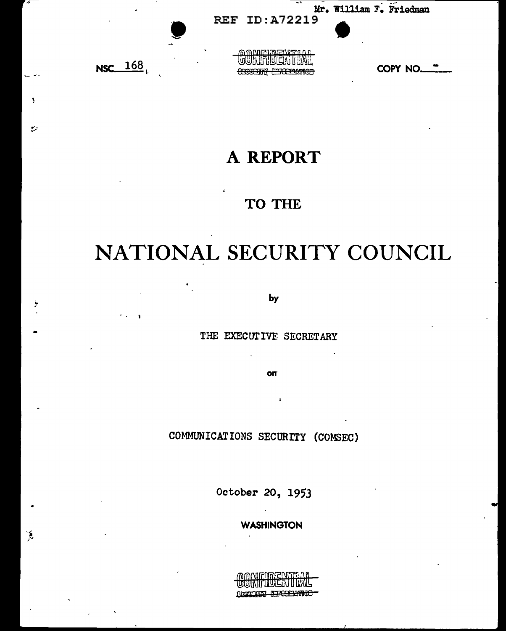

 $\overline{\mathbf{S}}$ 

 $\mathbf{r}$ 

 $\tilde{\mathbf{A}}$ 

## A REPORT

## TO THE

# NATIONAL SECURITY COUNCIL

by

THE EXECUTIVE SECRETARY

**on** 

COMMUNICATIONS SECURITY (COMSEC)

October 20, 1953

**WASHINGTON** 

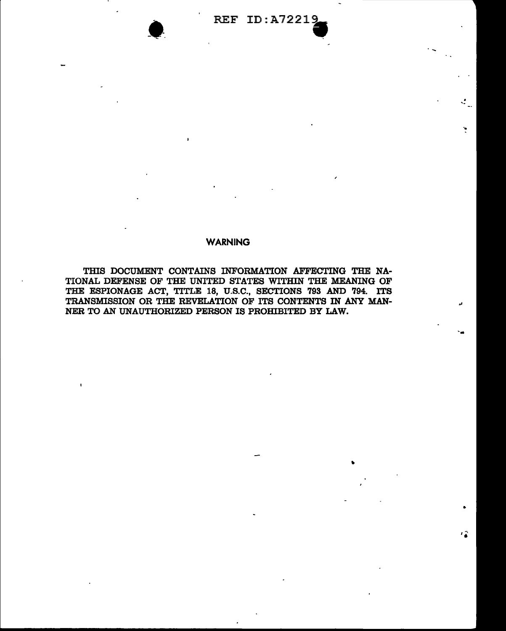$\mathcal{L}_n$ 

..

--

•

••

#### **WARNING**

THIS DOCUMENT CONTAINS INFORMATION AFFECTING THE NA-TIONAL DEFENSE OF THE UNITED STATES WITHIN THE MEANING OF THE ESPIONAGE ACT, TITLE 18, U.S.C., SECTIONS 793 AND 794. ITS TRANSMISSION OR THE REVELATION OF ITS CONTENTS IN ANY MAN-NER TO AN UNAUTHORIZED PERSON IS PROHIBITED BY LAW.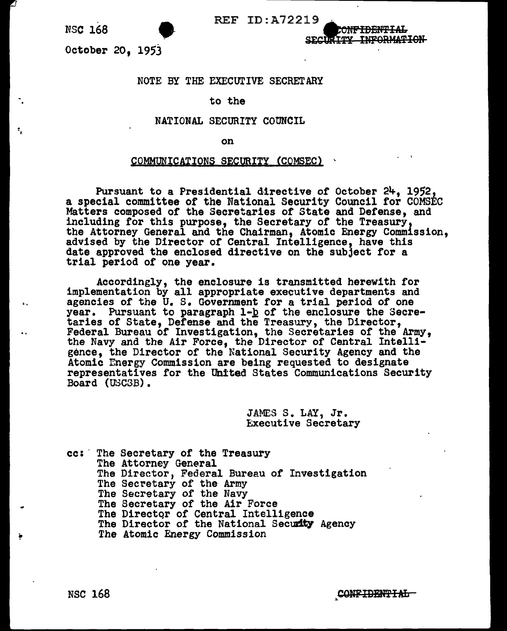.<br>.<br>. -.

..

SECURITY INFORMATION

<del>ionf Tent Tal</del>

NS**C 168**<br>October 20, 1953

#### NOTE BY THE EXECUTIVE SECRETARY

#### to the

#### NATIONAL SECURITY COUNCIL

on

#### COMMUNICATIONS SECURITY (COMSEC)

Pursuant to a Presidential directive of October 24, 1952, a special committee or the National Security Council for COMSEC Matters composed of the Secretaries of State and Defense, and including for this purpose, the Secretary of the Treasury, the Attorney General and the Chairman, Atomic Energy Commission, advised by the Director *ot* Central Intelligence, have this date approved the enclosed directive on the subject for a trial period or one year.

Accordingly, the enclosure is transmitted herewith for implementation by all appropriate executive departments and agencies of the U.S. Government for a trial period of one year. Pursuant to paragraph  $1-\underline{b}$  of the enclosure the Secretaries of State, Defense and the Treasury, the Director, Federal Bureau or Investigation, the Secretaries of the Army, the Navy and the Air Force, the Director of Central Intelligence, the Director of the National Security Agency and the Atomic Energy Commission are being requested to designate representatives for the United States Communications Security Board (USCSB).

> JAMES S. LAY, Jr. Executive Secretary

cc: The Secretary of the Treasury<br>The Attorney General<br>The Director, Federal Bureau of Investigation The Secretary of the Army<br>The Secretary of the Navy<br>The Secretary of the Air Force The Director of Central Intelligence<br>The Director of the National Security Agency The Atomic Energy Commission

NSC 168 ... CONFIDENTIAL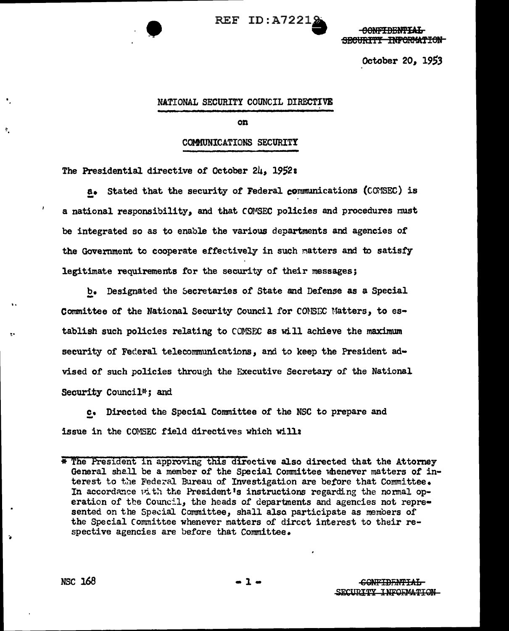

CONFIDENTIAL SECURITY INFORMATION

October 20, 1953

#### NATIONAL SECURITY COUNCIL DIRECTIVE

#### on

#### COMMUNICATIONS SECURITY

The Presidential directive of October 24, 1952:

a. Stated that the security of Federal communications (COMSEC) is a national responsibility, and that COMSEC policies and procedures must be integrated so as to enable the various departments and agencies of the Government to cooperate effectively in such matters and to satisfy legitimate requirements for the security of their messages;

b. Designated the Secretaries of State and Defense as a Special Committee of the National Security Council for CONSEC Matters, to establish such policies relating to COMSEC as will achieve the maximum security of Federal telecommunications, and to keep the President advised of such policies through the Executive Secretary of the National Security Council<sup>\*</sup>; and

c. Directed the Special Committee of the NSC to prepare and issue in the COMSEC field directives which will:

 $\tilde{\mathbf{z}}$ 

<sup>\*</sup> The President in approving this directive also directed that the Attorney General shall be a member of the Special Committee whenever matters of interest to the Federal Bureau of Investigation are before that Committee. In accordance with the President's instructions regarding the normal operation of the Council, the heads of departments and agencies not represented on the Special Committee, shall also participate as members of the Special Committee whenever matters of direct interest to their respective agencies are before that Committee.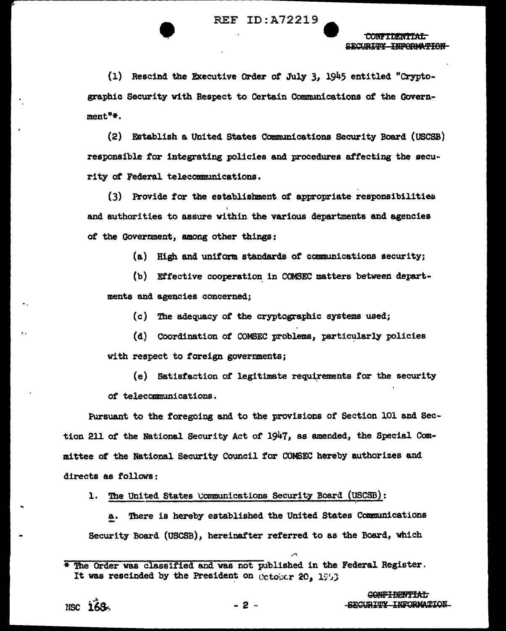(1) Rescind the Executive Order of July 3. 1945 entitled "Cryptographic Security with Respect to Certain Communications of the Government<sup>"</sup>\*.

(2) Establish a United States Communications Security Board (USCSB) responsible for integrating policies and procedures affecting the security of Federal telecommunications.

(3) Provide for the establishment of appropriate responsibilities and authorities to assure within the various departments and agencies of the Government, among other things:

(a) High and uniform standards of communications security;

(b) Effective cooperation in COMSEC matters between departments and agencies concerned:

(c) The adequacy of the cryptographic systems used;

- (d) Coordination of COMSEC problems, particularly policies with respect to foreign governments;
- (e) Satisfaction of legitimate requirements for the security of telecommunications.

Pursuant to the foregoing and to the provisions of Section 101 and Section 211 of the National Security Act of 1947, as amended, the Special Committee of the National Security Council for COMSEC hereby authorizes and directs as follows:

1. The United States Communications Security Board (USCSB):

a. There is hereby established the United States Communications Security Board (USCSB), hereinafter referred to as the Board, which

NSC 169

<sup>\*</sup> The Order was classified and was not published in the Federal Register. It was rescinded by the President on Cotober 20, 1963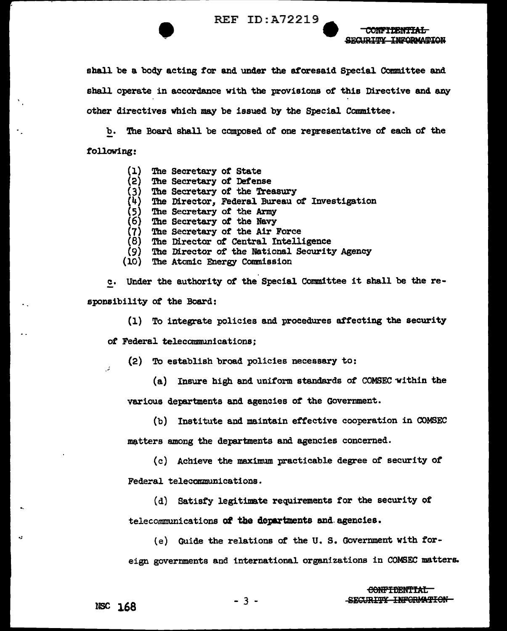**CONFIDENTIAL** SECURITY INFORMATION

shall be a body acting for and under the aforesaid Special Committee and shall operate in accordance with the provisions of this Directive and any other directives which may be issued by the Special Committee.

b. The Board shall be composed of one representative of each of the following:

- The Secretary of State (1)
- (2) The Secretary of Defense
- The Secretary of the Treasury
- The Director, Federal Bureau of Investigation
- $(3)$ <br> $(4)$ <br> $(5)$ <br> $(6)$ The Secretary of the Army
- The Secretary of the Navy
- $(7)$ The Secretary of the Air Force
- $(8)$ The Director of Central Intelligence
- The Director of the National Security Agency (9)
- $(10)$ The Atomic Energy Commission

c. Under the authority of the Special Committee it shall be the responsibility of the Board:

(1) To integrate policies and procedures affecting the security

of Federal telecommunications;

(2) To establish broad policies necessary to:

(a) Insure high and uniform standards of COMSEC within the various departments and agencies of the Government.

(b) Institute and maintain effective cooperation in COMSEC matters smong the departments and agencies concerned.

(c) Achieve the maximum practicable degree of security of Federal telecommunications.

(d) Satisfy legitimate requirements for the security of telecommunications of the departments and agencies.

(e) Guide the relations of the U.S. Government with foreign governments and international organizations in COMSEC matters.

 $\mathcal{L}$ 

 $-3 -$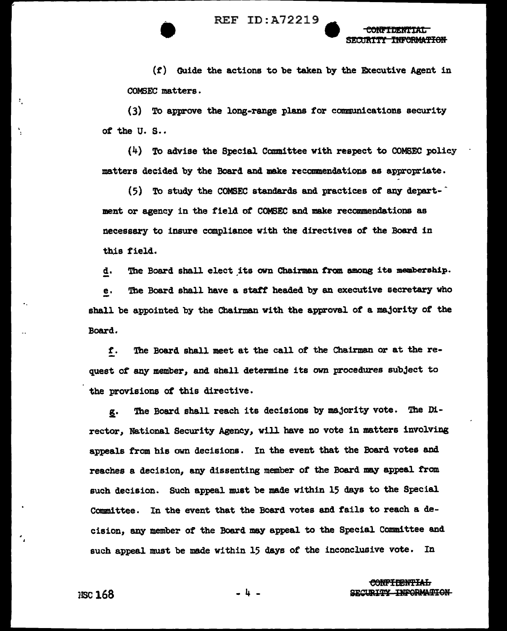$(f)$  Guide the actions to be taken by the Executive Agent in COMSEC matters.

(3) To approve the long-range plans for communications security of the U.S..

 $(4)$  To advise the Special Committee with respect to COMSEC policy matters decided by the Board and make recommendations as appropriate.

(5) To study the COMSEC standards and practices of any department or agency in the field of COMSEC and make recommendations as necessary to insure compliance with the directives of the Board in this field.

The Board shall elect its own Chairman from among its membership. d.

The Board shall have a staff headed by an executive secretary who e. shall be appointed by the Chairman with the approval of a majority of the Board.

The Board shall meet at the call of the Chairman or at the ref. quest of any member, and shall determine its own procedures subject to the provisions of this directive.

The Board shall reach its decisions by majority vote. The Dig. rector, National Security Agency, will have no vote in matters involving appeals from his own decisions. In the event that the Board votes and reaches a decision, any dissenting member of the Board may appeal from such decision. Such appeal must be made within 15 days to the Special Committee. In the event that the Board votes and fails to reach a decision, any member of the Board may appeal to the Special Committee and such appeal must be made within 15 days of the inconclusive vote. In

> <del>CONFIDENTIAL</del> SECURITY INFORMATION

÷,

-4-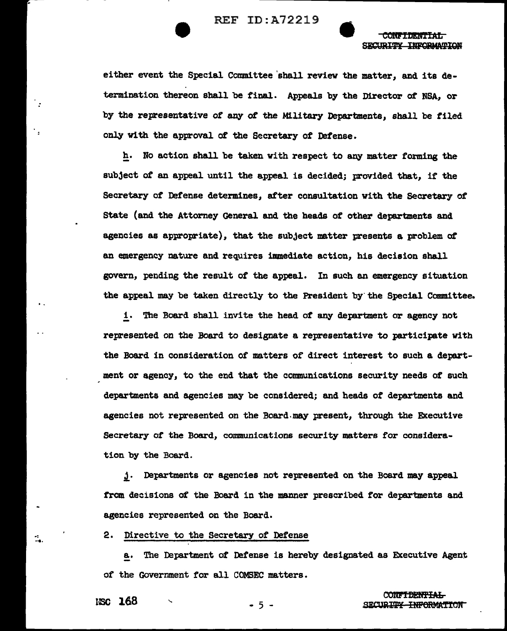

**CONTACT AND STATE** SECURITY INFORMATION

either event the Special Committee 'shall review the matter, and its determimtion thereon shall be final. Appeals by the Director *ot* NSA, or by the representative *ot* any ot the Military Departments, shall be filed only with the approval *ot* the Secretary of Defense.

h. No action shall be taken with respect to any matter forming the subject of an appeal until the appeal is decided; provided that, if the Secretary of Defense determines, after consultation with the Secretary of State (and the Attorney General and the heads of other departments and agencies as appropriate), that the subject matter presents a problem ot an emergency nature and requires immediate action, his decision shall govern, pending the result of the appeal. In such an emergency situation the appeal may be taken directly to the President by the Special Committee.

! . The Board shall invite the head of any department or agency not represented on the Board to designate a representative to participate with the Board in consideration of matters of direct interest to such a department or agency, to the end that the communications security needs *ot* such departments and agencies may be considered; and heads of departments and agencies not represented on the Board.may present, through the Executive Secretary of the Doard, communications security matters for consideration by the Board.

j. Departments or agencies not represented on the Board may appeal trom decisions *ot* the Board in the manner prescribed *tor* departments and agencies represented on the Board.

2. Directive to the Secretary *ot* Defense

a. The Department of Defense is hereby designated as Executive Agent *ot* the Government tor all COMSEC matters.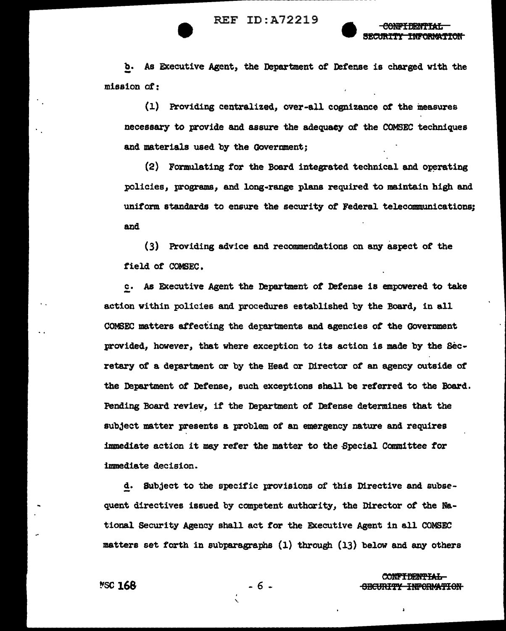



b. As Executive Agent, the Department of Defense is charged with the mission of:

(1) Providing centralized, over-all coanizance *ot* the measures necessary to provide and assure the adequacy of the COMSEC techniques and materials used by the Government;

(2) Formulating for the Board integrated technical and operating policies, programs, and long-range plans required to maintain high and uniform standards to ensure the security of Federal telecommunications; and

(3) Providing advice and recommendations on any aspect of the field of COMSEC.

c. As Executive Agent the Department of Defense is empowered to take action within policies and procedures established by the Board, in all COMSEC matters affecting the derartments and agencies of the Government provided, however, that where exception to its action is made by the Secretary of a detartment or by the Head or Director of an agency outside of the Department of Defense, such exceptions shall be referred to the Board. Pending Board review, if the Department of Defense determines that the subject matter presents a problem *ot* an emergency nature and requires immediate action it may refer the matter to the Special Committee for immediate decision.

d. Subject to the specific provisions of this Directive and subsequent directives issued by competent authority, the Director *ot* the National Security Agency shall act for the Executive Agent in all COMSEC matters set forth in subparagraphs  $(1)$  through  $(13)$  below and any others

'·

- 6 -

~SC **168**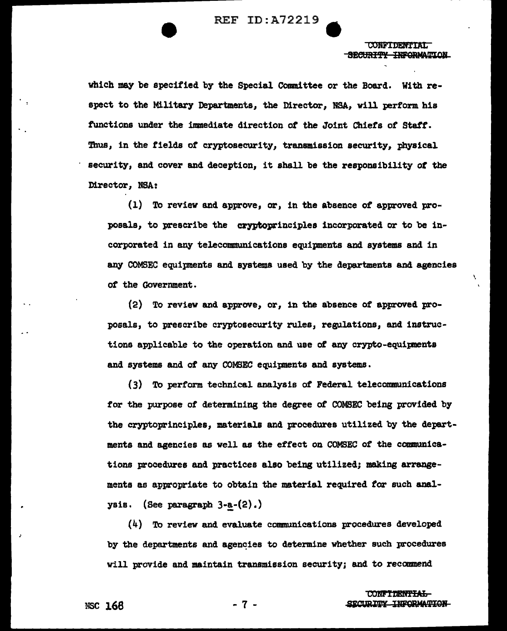WON'T DIE DIE VAN DIE 1975 SECHRITY INFORMATION

\

which may be specified by the Special COmmittee or the Board. With respect to the Military Departments, the Director, BSA, will perform his functions under the immediate direction of the Joint Chiefs of Staff. Thus, in the fields of cryptosecurity, transmission security, physical security, and cover and deception, it shall be the responsibility *ot* the Director, NSA:

(1) To review and approve, or, in the absence of approved proposals, to prescribe the cryptoprinciples incorporated or to be incorporated in any telecommunications equipnents and systems and in any COMSEC equipments and systems used by the departments and agencies ot the Government.

(2) To review and approve, or, in the absence *ot* approved proposals, to prescribe cryptosecurity rules, regulations, and instructions applicable to the operation and use of any crypto-equipnents and systems and of any COMSEC equipnents and systems.

(3) To perform technical analysis *ot* Federal telecommunications *tor* the purpose of determining the degree *ot* COMSEC being provided by the cryptoprinciples, materials and procedures utilized by the departments and agencies as well as the effect on COMSEC *ot* the communications procedures and practices also being utilized; making arrangements as appropriate to obtain the material required *tor* such analysis. (See paragraph  $3-a-(2)$ .)

 $(4)$  To review and evaluate communications procedures developed by the departments and agencies to determine whether such procedures will provide and maintain transmission security; and to recanmend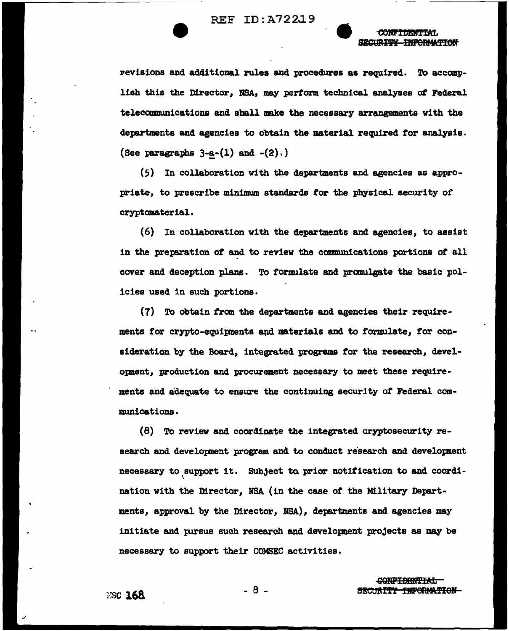SECURITY INFORMATION

revisions and additional rules and procedures as required. To accomplish this the Director, NSA, may perform technical analyses of Federal telecommunications and shall make the necessary arrangements with the departments and agencies to obtain the material required for analysis. (See paragraphs  $3-a-(1)$  and  $-(2)$ .)

(5) In collaboration with the departments and agencies as appropriate, to prescribe minimum standards for the physical security of cryptomaterial.

 $(6)$  In collaboration with the departments and agencies, to assist in the preparation of and to review the communications portions of all cover and deception plans. To formulate and promulgate the basic policies used in such portions.

(7) To obtain from the departments and agencies their requirements for crypto-equipments and materials and to formulate, for consideration by the Board, integrated programs for the research, development, production and procurement necessary to meet these requirements and adequate to ensure the continuing security of Federal communications.

(8) To review and coordinate the integrated cryptosecurity research and development program and to conduct research and development necessary to support it. Subject to prior notification to and coordination with the Director, NSA (in the case of the Military Departments, approval by the Director, NSA), departments and agencies may initiate and pursue such research and development projects as may be necessary to support their COMSEC activities.

> CONFIDENTIAL SECURITY INFORMATION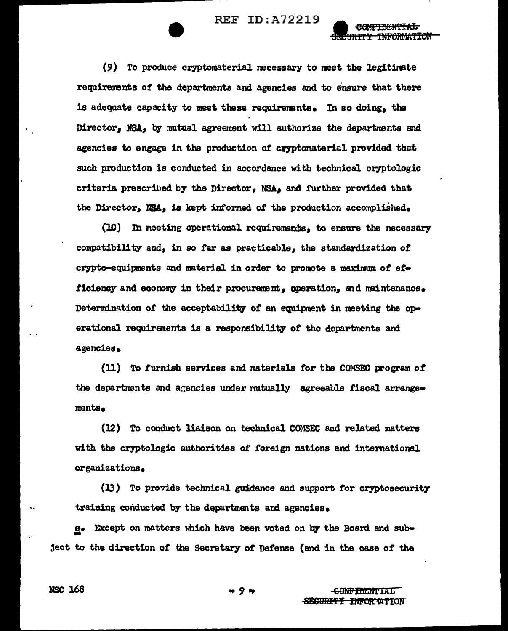<del>URTTY TNFORMATION</del>

(9) To produce cryptomaterial necessary to meet the legitimate requirements of the departments and agencies and to ensure that there is adequate capacity to meet these requirements. In so doing, the Director. NSA. by mutual agreement will authorize the departments and agencies to engage in the production of cryptomaterial provided that such production is conducted in accordance with technical cryptologic criteria prescribed by the Director. NSA. and further provided that the Director, NSA, is kept informed of the production accomplished.

(10) In meeting operational requirements, to ensure the necessary compatibility and, in so far as practicable, the standardization of crypto-equipments and material in order to promote a maximum of efficiency and economy in their procurement, operation, and maintenance. Determination of the acceptability of an equipment in meeting the operational requirements is a responsibility of the departments and agencies.

(11) To furnish services and materials for the COMSEC program of the departments and agencies under mutually agreeable fiscal arrangements.

(12) To conduct liaison on technical COMSEC and related matters with the cryptologic authorities of foreign nations and international organizations.

(13) To provide technical guidance and support for cryptosecurity training conducted by the departments and agencies.

e. Except on matters which have been voted on by the Board and subject to the direction of the Secretary of Defense (and in the case of the

NSC 168

9.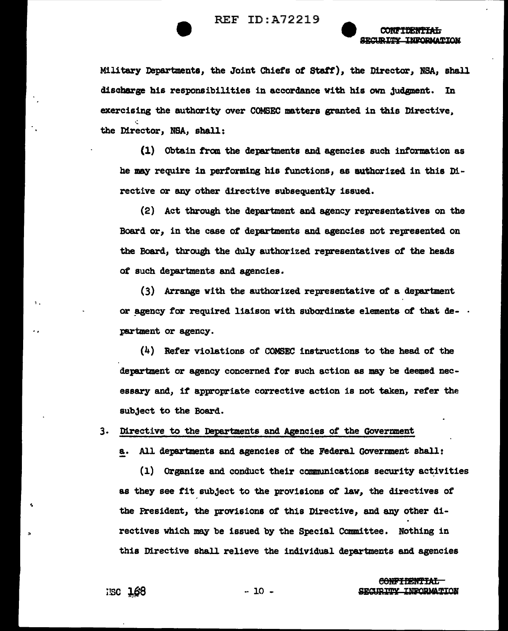

CONTTERNTTAT. **SECURITY INFORMATION** 

Military Departments, the Joint Chiefs of Staff), the Director, NSA, shall discharge his responsibilities in accordance with his own judgment. In exercising the authority over COMSEC matters granted in this Directive. the Director, NSA, shall:

(1) Obtain from the departments and agencies such information as he may require in performing his functions, as authorized in this Directive or any other directive subsequently issued.

(2) Act through the department and agency representatives on the Board or, in the case of departments and agencies not represented on the Board, through the duly authorized representatives of the heads of such departments and agencies.

(3) Arrange with the authorized representative of a department or agency for required liaison with subordinate elements of that de- . partment or agency.

 $(4)$  Refer violations of COMSEC instructions to the head of the department or agency concerned for such action as may be deemed necessary and, if appropriate corrective action is not taken, refer the subject to the Board.

3. Directive to the Departments and Agencies of the Government

a. All departments and agencies of the Federal Government shall:

(1) Organize and conduct their communications security activities as they see fit subject to the provisions of law, the directives of the President, the provisions of this Directive, and any other directives which may be issued by the Special Committee. Nothing in this Directive shall relieve the individual departments and agencies

**CONFIDENTIAL** SECURITY INFORMATION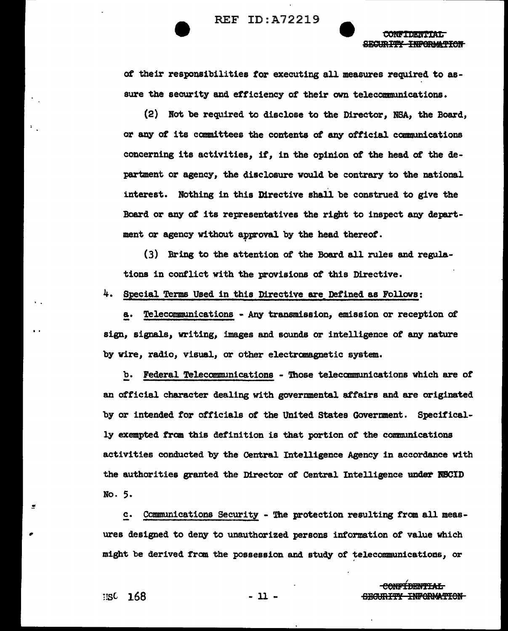

CONFTDENTAT. SECURITY INFORMATION

of their responsibilities *tor* executing all measures required to assure the security and efficiency of their own telecommunications.

 $(2)$  Not be required to disclose to the Director. NSA, the Board, or any of its committees the contents of any official communications concerning its activities, it, in the opinion of' the head ot the department or agency, the disclosure would be contrary to the national interest. Nothing in this Directive shall be construed to give the Board or any of its representatives the right to inspect any department or agency without approval by the head thereof.

(3) Bring to the attention of the Board all rules and regulations in conflict with the provisions of this Directive.

 $4.$  Special Terms Used in this Directive are Defined as Follows:

a. Telecommunications - Any transmission, emission or reception of sign, signals, writing, images and sounds or intelligence of any nature by wire, radio, visual, or other electranagnetic system.

!?.· Federal Telecommunications - 'lbose telecommunications which are *ot*  an official character dealing with governmental affairs and are originated by or intended for officials of the United States Government. Specifically exempted tram this definition is that portion of the communications activities conducted by the Central Intelligence Agency in accordance with the authorities granted the Director of Central Intelligence under NECID No. 5.

c. Communications Security - The protection resulting from all measures designed to deny to unauthorized persons information of value which might be derived from the possession and study of telecommunications, or